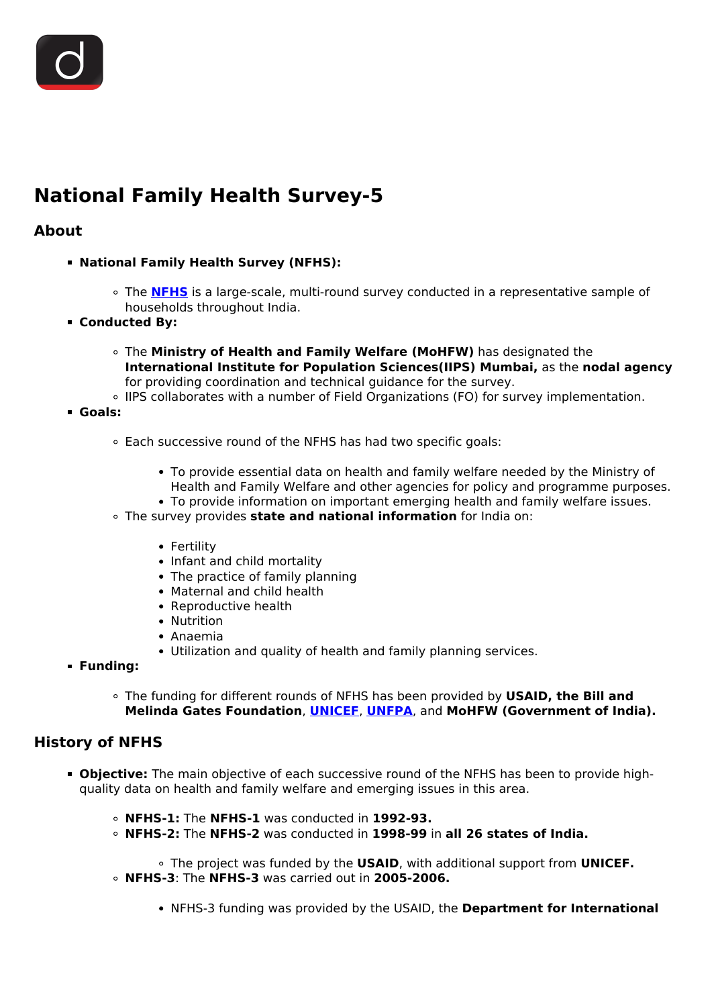

# **National Family Health Survey-5**

#### **About**

- **National Family Health Survey (NFHS):**
	- The **[NFHS](/daily-updates/daily-news-analysis/national-family-health-survey-5)** is a large-scale, multi-round survey conducted in a representative sample of households throughout India.
- **Conducted By:**
	- The **Ministry of Health and Family Welfare (MoHFW)** has designated the **International Institute for Population Sciences(IIPS) Mumbai,** as the **nodal agency** for providing coordination and technical guidance for the survey.
	- IIPS collaborates with a number of Field Organizations (FO) for survey implementation.
- **Goals:**
	- Each successive round of the NFHS has had two specific goals:
		- To provide essential data on health and family welfare needed by the Ministry of Health and Family Welfare and other agencies for policy and programme purposes.
		- To provide information on important emerging health and family welfare issues.
	- The survey provides **state and national information** for India on:
		- Fertility
		- Infant and child mortality
		- The practice of family planning
		- Maternal and child health
		- Reproductive health
		- Nutrition
		- Anaemia
		- Utilization and quality of health and family planning services.
- **Funding:**
	- The funding for different rounds of NFHS has been provided by **USAID, the Bill and Melinda Gates Foundation**, **[UNICEF](/important-institutions/drishti-specials-important-institutions-international-institution/unicef-1)**, **[UNFPA](/daily-updates/daily-news-analysis/state-of-the-world-population-2020-unfpa)**, and **MoHFW (Government of India).**

#### **History of NFHS**

- **Objective:** The main objective of each successive round of the NFHS has been to provide highquality data on health and family welfare and emerging issues in this area.
	- **NFHS-1:** The **NFHS-1** was conducted in **1992-93.**
	- **NFHS-2:** The **NFHS-2** was conducted in **1998-99** in **all 26 states of India.**

The project was funded by the **USAID**, with additional support from **UNICEF. NFHS-3**: The **NFHS-3** was carried out in **2005-2006.**

NFHS-3 funding was provided by the USAID, the **Department for International**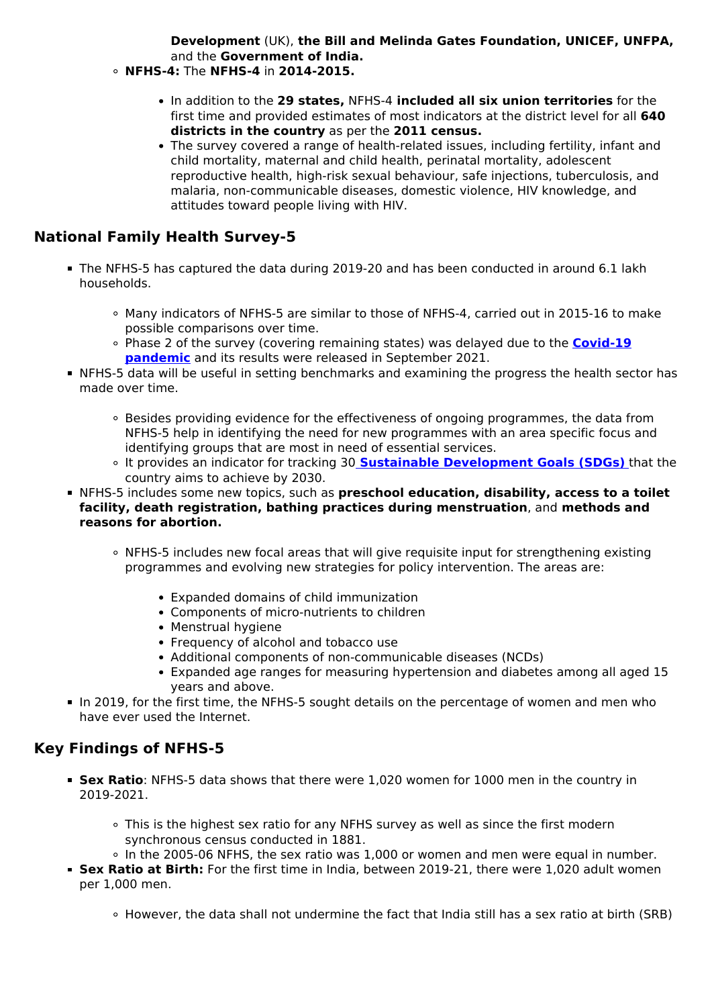**Development** (UK), **the Bill and Melinda Gates Foundation, UNICEF, UNFPA,** and the **Government of India.**

- **NFHS-4:** The **NFHS-4** in **2014-2015.**
	- In addition to the **29 states,** NFHS-4 **included all six union territories** for the first time and provided estimates of most indicators at the district level for all **640 districts in the country** as per the **2011 census.**
	- The survey covered a range of health-related issues, including fertility, infant and child mortality, maternal and child health, perinatal mortality, adolescent reproductive health, high-risk sexual behaviour, safe injections, tuberculosis, and malaria, non-communicable diseases, domestic violence, HIV knowledge, and attitudes toward people living with HIV.

## **National Family Health Survey-5**

- The NFHS-5 has captured the data during 2019-20 and has been conducted in around 6.1 lakh households.
	- Many indicators of NFHS-5 are similar to those of NFHS-4, carried out in 2015-16 to make possible comparisons over time.
	- Phase 2 of the survey (covering remaining states) was delayed due to the **[Covid-19](/daily-updates/daily-news-analysis/covid-19-now-pandemic-who) [pandemic](/daily-updates/daily-news-analysis/covid-19-now-pandemic-who)** and its results were released in September 2021.
- NFHS-5 data will be useful in setting benchmarks and examining the progress the health sector has made over time.
	- Besides providing evidence for the effectiveness of ongoing programmes, the data from NFHS-5 help in identifying the need for new programmes with an area specific focus and identifying groups that are most in need of essential services.
	- It provides an indicator for tracking 30 **[Sustainable Development Goals \(SDGs\)](/to-the-points/paper3/sustainable-development-3)** that the country aims to achieve by 2030.
- NFHS-5 includes some new topics, such as **preschool education, disability, access to a toilet facility, death registration, bathing practices during menstruation**, and **methods and reasons for abortion.**
	- NFHS-5 includes new focal areas that will give requisite input for strengthening existing programmes and evolving new strategies for policy intervention. The areas are:
		- Expanded domains of child immunization
		- Components of micro-nutrients to children
		- Menstrual hygiene
		- Frequency of alcohol and tobacco use
		- Additional components of non-communicable diseases (NCDs)
		- Expanded age ranges for measuring hypertension and diabetes among all aged 15 years and above.
- In 2019, for the first time, the NFHS-5 sought details on the percentage of women and men who have ever used the Internet.

## **Key Findings of NFHS-5**

- **Sex Ratio**: NFHS-5 data shows that there were 1,020 women for 1000 men in the country in 2019-2021.
	- This is the highest sex ratio for any NFHS survey as well as since the first modern synchronous census conducted in 1881.
	- In the 2005-06 NFHS, the sex ratio was 1,000 or women and men were equal in number.
- **Sex Ratio at Birth:** For the first time in India, between 2019-21, there were 1,020 adult women per 1,000 men.
	- However, the data shall not undermine the fact that India still has a sex ratio at birth (SRB)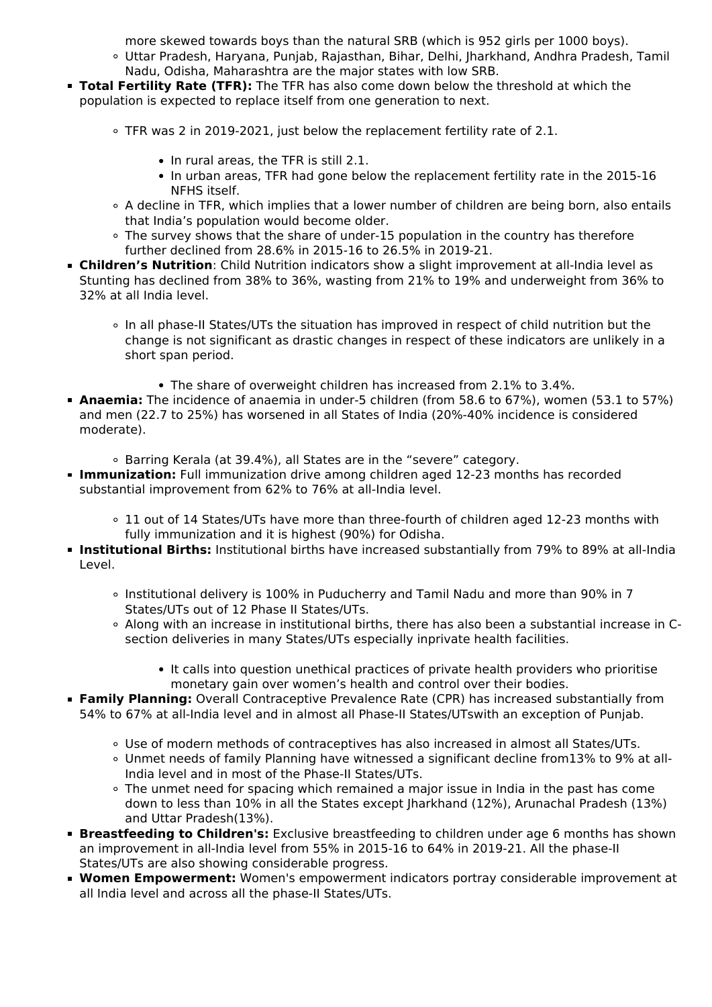more skewed towards boys than the natural SRB (which is 952 girls per 1000 boys).

- Uttar Pradesh, Haryana, Punjab, Rajasthan, Bihar, Delhi, Jharkhand, Andhra Pradesh, Tamil Nadu, Odisha, Maharashtra are the major states with low SRB.
- **Total Fertility Rate (TFR):** The TFR has also come down below the threshold at which the population is expected to replace itself from one generation to next.
	- TFR was 2 in 2019-2021, just below the replacement fertility rate of 2.1.
		- In rural areas, the TFR is still 2.1.
		- In urban areas, TFR had gone below the replacement fertility rate in the 2015-16 NFHS itself.
	- A decline in TFR, which implies that a lower number of children are being born, also entails that India's population would become older.
	- The survey shows that the share of under-15 population in the country has therefore further declined from 28.6% in 2015-16 to 26.5% in 2019-21.
- **Children's Nutrition**: Child Nutrition indicators show a slight improvement at all-India level as Stunting has declined from 38% to 36%, wasting from 21% to 19% and underweight from 36% to 32% at all India level.
	- In all phase-II States/UTs the situation has improved in respect of child nutrition but the change is not significant as drastic changes in respect of these indicators are unlikely in a short span period.
		- The share of overweight children has increased from 2.1% to 3.4%.
- **Anaemia:** The incidence of anaemia in under-5 children (from 58.6 to 67%), women (53.1 to 57%) and men (22.7 to 25%) has worsened in all States of India (20%-40% incidence is considered moderate).
	- Barring Kerala (at 39.4%), all States are in the "severe" category.
- **Immunization:** Full immunization drive among children aged 12-23 months has recorded substantial improvement from 62% to 76% at all-India level.
	- 11 out of 14 States/UTs have more than three-fourth of children aged 12-23 months with fully immunization and it is highest (90%) for Odisha.
- **Institutional Births:** Institutional births have increased substantially from 79% to 89% at all-India Level.
	- Institutional delivery is 100% in Puducherry and Tamil Nadu and more than 90% in 7 States/UTs out of 12 Phase II States/UTs.
	- Along with an increase in institutional births, there has also been a substantial increase in Csection deliveries in many States/UTs especially inprivate health facilities.
		- It calls into question unethical practices of private health providers who prioritise monetary gain over women's health and control over their bodies.
- **Family Planning:** Overall Contraceptive Prevalence Rate (CPR) has increased substantially from 54% to 67% at all-India level and in almost all Phase-II States/UTswith an exception of Punjab.
	- Use of modern methods of contraceptives has also increased in almost all States/UTs.
	- Unmet needs of family Planning have witnessed a significant decline from13% to 9% at all-India level and in most of the Phase-II States/UTs.
	- The unmet need for spacing which remained a major issue in India in the past has come down to less than 10% in all the States except Jharkhand (12%), Arunachal Pradesh (13%) and Uttar Pradesh(13%).
- **Breastfeeding to Children's:** Exclusive breastfeeding to children under age 6 months has shown an improvement in all-India level from 55% in 2015-16 to 64% in 2019-21. All the phase-II States/UTs are also showing considerable progress.
- **Women Empowerment:** Women's empowerment indicators portray considerable improvement at all India level and across all the phase-II States/UTs.